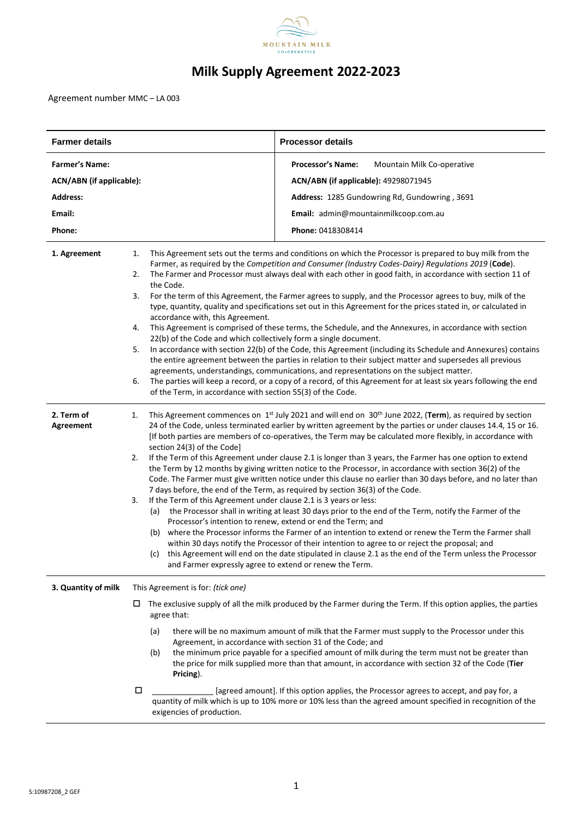

# **Milk Supply Agreement 2022-2023**

Agreement number MMC – LA 003

| <b>Farmer details</b>           |                                                                                                                                        | <b>Processor details</b>                                                                                                                                                                                                                                                                                                                                                                                                                                                                                                                                                                                                                                                                                                                                                                                                                                                                                                                                                                                                                                                                                                                                                                                                                                                                                                                                                                                                         |  |
|---------------------------------|----------------------------------------------------------------------------------------------------------------------------------------|----------------------------------------------------------------------------------------------------------------------------------------------------------------------------------------------------------------------------------------------------------------------------------------------------------------------------------------------------------------------------------------------------------------------------------------------------------------------------------------------------------------------------------------------------------------------------------------------------------------------------------------------------------------------------------------------------------------------------------------------------------------------------------------------------------------------------------------------------------------------------------------------------------------------------------------------------------------------------------------------------------------------------------------------------------------------------------------------------------------------------------------------------------------------------------------------------------------------------------------------------------------------------------------------------------------------------------------------------------------------------------------------------------------------------------|--|
| <b>Farmer's Name:</b>           |                                                                                                                                        | <b>Processor's Name:</b><br>Mountain Milk Co-operative                                                                                                                                                                                                                                                                                                                                                                                                                                                                                                                                                                                                                                                                                                                                                                                                                                                                                                                                                                                                                                                                                                                                                                                                                                                                                                                                                                           |  |
| <b>ACN/ABN</b> (if applicable): |                                                                                                                                        | ACN/ABN (if applicable): 49298071945                                                                                                                                                                                                                                                                                                                                                                                                                                                                                                                                                                                                                                                                                                                                                                                                                                                                                                                                                                                                                                                                                                                                                                                                                                                                                                                                                                                             |  |
| <b>Address:</b>                 |                                                                                                                                        | Address: 1285 Gundowring Rd, Gundowring, 3691                                                                                                                                                                                                                                                                                                                                                                                                                                                                                                                                                                                                                                                                                                                                                                                                                                                                                                                                                                                                                                                                                                                                                                                                                                                                                                                                                                                    |  |
| Email:                          |                                                                                                                                        | Email: admin@mountainmilkcoop.com.au                                                                                                                                                                                                                                                                                                                                                                                                                                                                                                                                                                                                                                                                                                                                                                                                                                                                                                                                                                                                                                                                                                                                                                                                                                                                                                                                                                                             |  |
| Phone:                          |                                                                                                                                        | Phone: 0418308414                                                                                                                                                                                                                                                                                                                                                                                                                                                                                                                                                                                                                                                                                                                                                                                                                                                                                                                                                                                                                                                                                                                                                                                                                                                                                                                                                                                                                |  |
| 1. Agreement                    | 1.<br>2.<br>the Code.<br>3.<br>4.<br>5.<br>6.                                                                                          | This Agreement sets out the terms and conditions on which the Processor is prepared to buy milk from the<br>Farmer, as required by the Competition and Consumer (Industry Codes-Dairy) Regulations 2019 (Code).<br>The Farmer and Processor must always deal with each other in good faith, in accordance with section 11 of<br>For the term of this Agreement, the Farmer agrees to supply, and the Processor agrees to buy, milk of the<br>type, quantity, quality and specifications set out in this Agreement for the prices stated in, or calculated in<br>accordance with, this Agreement.<br>This Agreement is comprised of these terms, the Schedule, and the Annexures, in accordance with section<br>22(b) of the Code and which collectively form a single document.<br>In accordance with section 22(b) of the Code, this Agreement (including its Schedule and Annexures) contains<br>the entire agreement between the parties in relation to their subject matter and supersedes all previous<br>agreements, understandings, communications, and representations on the subject matter.<br>The parties will keep a record, or a copy of a record, of this Agreement for at least six years following the end<br>of the Term, in accordance with section 55(3) of the Code.                                                                                                                                         |  |
| 2. Term of<br><b>Agreement</b>  | 1.<br>section 24(3) of the Code]<br>2.<br>3.<br>(a)<br>(c)                                                                             | This Agreement commences on 1 <sup>st</sup> July 2021 and will end on 30 <sup>th</sup> June 2022, (Term), as required by section<br>24 of the Code, unless terminated earlier by written agreement by the parties or under clauses 14.4, 15 or 16.<br>[If both parties are members of co-operatives, the Term may be calculated more flexibly, in accordance with<br>If the Term of this Agreement under clause 2.1 is longer than 3 years, the Farmer has one option to extend<br>the Term by 12 months by giving written notice to the Processor, in accordance with section 36(2) of the<br>Code. The Farmer must give written notice under this clause no earlier than 30 days before, and no later than<br>7 days before, the end of the Term, as required by section 36(3) of the Code.<br>If the Term of this Agreement under clause 2.1 is 3 years or less:<br>the Processor shall in writing at least 30 days prior to the end of the Term, notify the Farmer of the<br>Processor's intention to renew, extend or end the Term; and<br>(b) where the Processor informs the Farmer of an intention to extend or renew the Term the Farmer shall<br>within 30 days notify the Processor of their intention to agree to or reject the proposal; and<br>this Agreement will end on the date stipulated in clause 2.1 as the end of the Term unless the Processor<br>and Farmer expressly agree to extend or renew the Term. |  |
| 3. Quantity of milk             | This Agreement is for: (tick one)                                                                                                      |                                                                                                                                                                                                                                                                                                                                                                                                                                                                                                                                                                                                                                                                                                                                                                                                                                                                                                                                                                                                                                                                                                                                                                                                                                                                                                                                                                                                                                  |  |
|                                 | $\Box$ The exclusive supply of all the milk produced by the Farmer during the Term. If this option applies, the parties<br>agree that: |                                                                                                                                                                                                                                                                                                                                                                                                                                                                                                                                                                                                                                                                                                                                                                                                                                                                                                                                                                                                                                                                                                                                                                                                                                                                                                                                                                                                                                  |  |
|                                 | (a)<br>(b)<br>Pricing).                                                                                                                | there will be no maximum amount of milk that the Farmer must supply to the Processor under this<br>Agreement, in accordance with section 31 of the Code; and<br>the minimum price payable for a specified amount of milk during the term must not be greater than<br>the price for milk supplied more than that amount, in accordance with section 32 of the Code (Tier                                                                                                                                                                                                                                                                                                                                                                                                                                                                                                                                                                                                                                                                                                                                                                                                                                                                                                                                                                                                                                                          |  |
|                                 | П<br>exigencies of production.                                                                                                         | [agreed amount]. If this option applies, the Processor agrees to accept, and pay for, a<br>quantity of milk which is up to 10% more or 10% less than the agreed amount specified in recognition of the                                                                                                                                                                                                                                                                                                                                                                                                                                                                                                                                                                                                                                                                                                                                                                                                                                                                                                                                                                                                                                                                                                                                                                                                                           |  |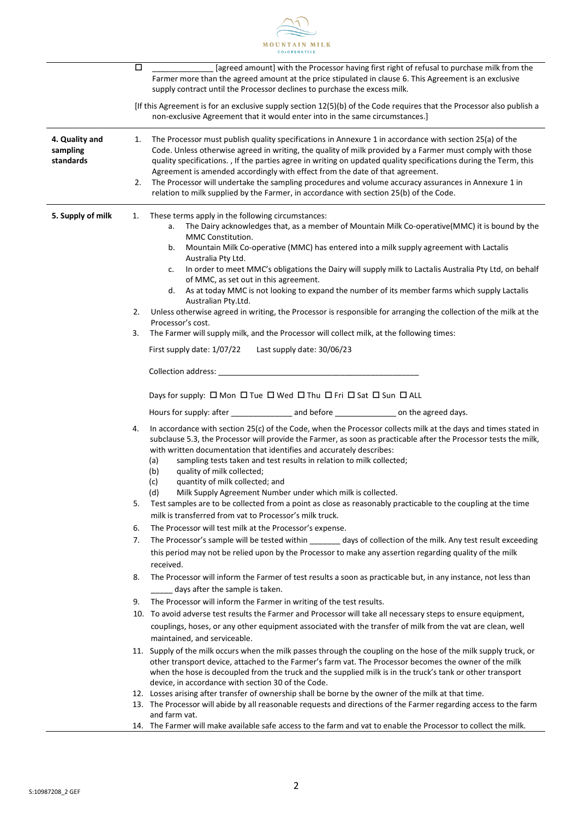

|                                         | $\Box$<br>[agreed amount] with the Processor having first right of refusal to purchase milk from the<br>Farmer more than the agreed amount at the price stipulated in clause 6. This Agreement is an exclusive<br>supply contract until the Processor declines to purchase the excess milk.                                                                                                                                                                                                                                                                                                                                              |
|-----------------------------------------|------------------------------------------------------------------------------------------------------------------------------------------------------------------------------------------------------------------------------------------------------------------------------------------------------------------------------------------------------------------------------------------------------------------------------------------------------------------------------------------------------------------------------------------------------------------------------------------------------------------------------------------|
|                                         | [If this Agreement is for an exclusive supply section 12(5)(b) of the Code requires that the Processor also publish a<br>non-exclusive Agreement that it would enter into in the same circumstances.]                                                                                                                                                                                                                                                                                                                                                                                                                                    |
| 4. Quality and<br>sampling<br>standards | The Processor must publish quality specifications in Annexure 1 in accordance with section 25(a) of the<br>1.<br>Code. Unless otherwise agreed in writing, the quality of milk provided by a Farmer must comply with those<br>quality specifications. , If the parties agree in writing on updated quality specifications during the Term, this<br>Agreement is amended accordingly with effect from the date of that agreement.<br>The Processor will undertake the sampling procedures and volume accuracy assurances in Annexure 1 in<br>2.<br>relation to milk supplied by the Farmer, in accordance with section 25(b) of the Code. |
| 5. Supply of milk                       | These terms apply in the following circumstances:<br>1.<br>The Dairy acknowledges that, as a member of Mountain Milk Co-operative(MMC) it is bound by the<br>a.<br>MMC Constitution.<br>Mountain Milk Co-operative (MMC) has entered into a milk supply agreement with Lactalis<br>b.                                                                                                                                                                                                                                                                                                                                                    |
|                                         | Australia Pty Ltd.<br>In order to meet MMC's obligations the Dairy will supply milk to Lactalis Australia Pty Ltd, on behalf<br>c.<br>of MMC, as set out in this agreement.                                                                                                                                                                                                                                                                                                                                                                                                                                                              |
|                                         | As at today MMC is not looking to expand the number of its member farms which supply Lactalis<br>d.<br>Australian Pty.Ltd.<br>Unless otherwise agreed in writing, the Processor is responsible for arranging the collection of the milk at the<br>2.                                                                                                                                                                                                                                                                                                                                                                                     |
|                                         | Processor's cost.<br>3.<br>The Farmer will supply milk, and the Processor will collect milk, at the following times:                                                                                                                                                                                                                                                                                                                                                                                                                                                                                                                     |
|                                         | First supply date: 1/07/22<br>Last supply date: 30/06/23                                                                                                                                                                                                                                                                                                                                                                                                                                                                                                                                                                                 |
|                                         |                                                                                                                                                                                                                                                                                                                                                                                                                                                                                                                                                                                                                                          |
|                                         | Days for supply: □ Mon □ Tue □ Wed □ Thu □ Fri □ Sat □ Sun □ ALL                                                                                                                                                                                                                                                                                                                                                                                                                                                                                                                                                                         |
|                                         |                                                                                                                                                                                                                                                                                                                                                                                                                                                                                                                                                                                                                                          |
|                                         | In accordance with section 25(c) of the Code, when the Processor collects milk at the days and times stated in<br>4.<br>subclause 5.3, the Processor will provide the Farmer, as soon as practicable after the Processor tests the milk,<br>with written documentation that identifies and accurately describes:<br>sampling tests taken and test results in relation to milk collected;<br>(a)<br>(b)<br>quality of milk collected;<br>quantity of milk collected; and<br>(c)                                                                                                                                                           |
|                                         | (d)<br>Milk Supply Agreement Number under which milk is collected.                                                                                                                                                                                                                                                                                                                                                                                                                                                                                                                                                                       |
|                                         | Test samples are to be collected from a point as close as reasonably practicable to the coupling at the time<br>5.<br>milk is transferred from vat to Processor's milk truck.                                                                                                                                                                                                                                                                                                                                                                                                                                                            |
|                                         | The Processor will test milk at the Processor's expense.<br>6.                                                                                                                                                                                                                                                                                                                                                                                                                                                                                                                                                                           |
|                                         | The Processor's sample will be tested within _______ days of collection of the milk. Any test result exceeding<br>7.<br>this period may not be relied upon by the Processor to make any assertion regarding quality of the milk<br>received.                                                                                                                                                                                                                                                                                                                                                                                             |
|                                         | The Processor will inform the Farmer of test results a soon as practicable but, in any instance, not less than<br>8.<br>days after the sample is taken.                                                                                                                                                                                                                                                                                                                                                                                                                                                                                  |
|                                         | The Processor will inform the Farmer in writing of the test results.<br>9.                                                                                                                                                                                                                                                                                                                                                                                                                                                                                                                                                               |
|                                         | 10. To avoid adverse test results the Farmer and Processor will take all necessary steps to ensure equipment,                                                                                                                                                                                                                                                                                                                                                                                                                                                                                                                            |
|                                         | couplings, hoses, or any other equipment associated with the transfer of milk from the vat are clean, well                                                                                                                                                                                                                                                                                                                                                                                                                                                                                                                               |
|                                         | maintained, and serviceable.<br>11. Supply of the milk occurs when the milk passes through the coupling on the hose of the milk supply truck, or                                                                                                                                                                                                                                                                                                                                                                                                                                                                                         |
|                                         | other transport device, attached to the Farmer's farm vat. The Processor becomes the owner of the milk<br>when the hose is decoupled from the truck and the supplied milk is in the truck's tank or other transport                                                                                                                                                                                                                                                                                                                                                                                                                      |
|                                         | device, in accordance with section 30 of the Code.                                                                                                                                                                                                                                                                                                                                                                                                                                                                                                                                                                                       |
|                                         | 12. Losses arising after transfer of ownership shall be borne by the owner of the milk at that time.<br>13. The Processor will abide by all reasonable requests and directions of the Farmer regarding access to the farm                                                                                                                                                                                                                                                                                                                                                                                                                |
|                                         | and farm vat.<br>14. The Farmer will make available safe access to the farm and vat to enable the Processor to collect the milk.                                                                                                                                                                                                                                                                                                                                                                                                                                                                                                         |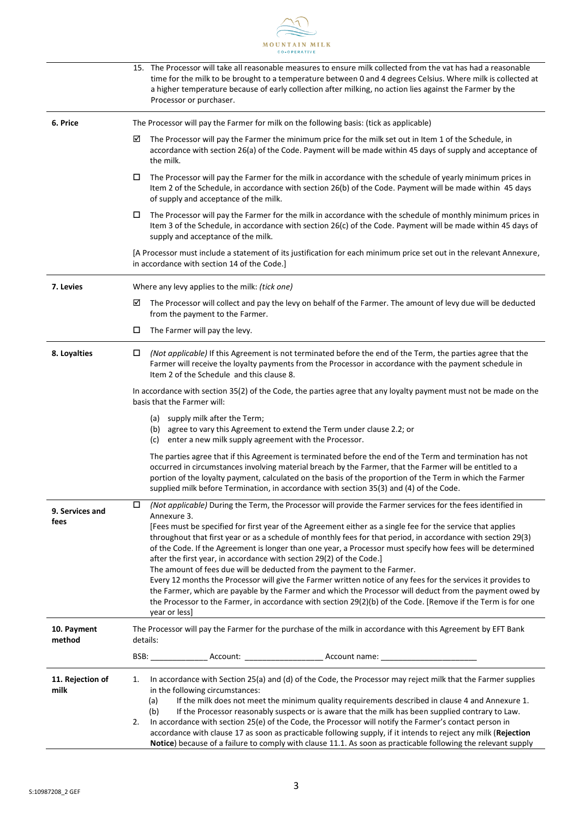

|                          | 15. The Processor will take all reasonable measures to ensure milk collected from the vat has had a reasonable<br>time for the milk to be brought to a temperature between 0 and 4 degrees Celsius. Where milk is collected at<br>a higher temperature because of early collection after milking, no action lies against the Farmer by the<br>Processor or purchaser.                                                                                                                                                                                                                                                                                                                                                                                                                                                                                                                                                                                                                           |  |  |
|--------------------------|-------------------------------------------------------------------------------------------------------------------------------------------------------------------------------------------------------------------------------------------------------------------------------------------------------------------------------------------------------------------------------------------------------------------------------------------------------------------------------------------------------------------------------------------------------------------------------------------------------------------------------------------------------------------------------------------------------------------------------------------------------------------------------------------------------------------------------------------------------------------------------------------------------------------------------------------------------------------------------------------------|--|--|
| 6. Price                 | The Processor will pay the Farmer for milk on the following basis: (tick as applicable)                                                                                                                                                                                                                                                                                                                                                                                                                                                                                                                                                                                                                                                                                                                                                                                                                                                                                                         |  |  |
|                          | ☑<br>The Processor will pay the Farmer the minimum price for the milk set out in Item 1 of the Schedule, in<br>accordance with section 26(a) of the Code. Payment will be made within 45 days of supply and acceptance of<br>the milk.                                                                                                                                                                                                                                                                                                                                                                                                                                                                                                                                                                                                                                                                                                                                                          |  |  |
|                          | The Processor will pay the Farmer for the milk in accordance with the schedule of yearly minimum prices in<br>□<br>Item 2 of the Schedule, in accordance with section 26(b) of the Code. Payment will be made within 45 days<br>of supply and acceptance of the milk.                                                                                                                                                                                                                                                                                                                                                                                                                                                                                                                                                                                                                                                                                                                           |  |  |
|                          | The Processor will pay the Farmer for the milk in accordance with the schedule of monthly minimum prices in<br>□<br>Item 3 of the Schedule, in accordance with section 26(c) of the Code. Payment will be made within 45 days of<br>supply and acceptance of the milk.                                                                                                                                                                                                                                                                                                                                                                                                                                                                                                                                                                                                                                                                                                                          |  |  |
|                          | [A Processor must include a statement of its justification for each minimum price set out in the relevant Annexure,<br>in accordance with section 14 of the Code.]                                                                                                                                                                                                                                                                                                                                                                                                                                                                                                                                                                                                                                                                                                                                                                                                                              |  |  |
| 7. Levies                | Where any levy applies to the milk: (tick one)                                                                                                                                                                                                                                                                                                                                                                                                                                                                                                                                                                                                                                                                                                                                                                                                                                                                                                                                                  |  |  |
|                          | ☑<br>The Processor will collect and pay the levy on behalf of the Farmer. The amount of levy due will be deducted<br>from the payment to the Farmer.                                                                                                                                                                                                                                                                                                                                                                                                                                                                                                                                                                                                                                                                                                                                                                                                                                            |  |  |
|                          | □<br>The Farmer will pay the levy.                                                                                                                                                                                                                                                                                                                                                                                                                                                                                                                                                                                                                                                                                                                                                                                                                                                                                                                                                              |  |  |
| 8. Loyalties             | (Not applicable) If this Agreement is not terminated before the end of the Term, the parties agree that the<br>□<br>Farmer will receive the loyalty payments from the Processor in accordance with the payment schedule in<br>Item 2 of the Schedule and this clause 8.                                                                                                                                                                                                                                                                                                                                                                                                                                                                                                                                                                                                                                                                                                                         |  |  |
|                          | In accordance with section 35(2) of the Code, the parties agree that any loyalty payment must not be made on the<br>basis that the Farmer will:                                                                                                                                                                                                                                                                                                                                                                                                                                                                                                                                                                                                                                                                                                                                                                                                                                                 |  |  |
|                          | (a) supply milk after the Term;<br>(b) agree to vary this Agreement to extend the Term under clause 2.2; or<br>(c) enter a new milk supply agreement with the Processor.                                                                                                                                                                                                                                                                                                                                                                                                                                                                                                                                                                                                                                                                                                                                                                                                                        |  |  |
|                          | The parties agree that if this Agreement is terminated before the end of the Term and termination has not<br>occurred in circumstances involving material breach by the Farmer, that the Farmer will be entitled to a<br>portion of the loyalty payment, calculated on the basis of the proportion of the Term in which the Farmer<br>supplied milk before Termination, in accordance with section 35(3) and (4) of the Code.                                                                                                                                                                                                                                                                                                                                                                                                                                                                                                                                                                   |  |  |
| 9. Services and<br>fees  | (Not applicable) During the Term, the Processor will provide the Farmer services for the fees identified in<br>□<br>Annexure 3.<br>[Fees must be specified for first year of the Agreement either as a single fee for the service that applies<br>throughout that first year or as a schedule of monthly fees for that period, in accordance with section 29(3)<br>of the Code. If the Agreement is longer than one year, a Processor must specify how fees will be determined<br>after the first year, in accordance with section 29(2) of the Code.]<br>The amount of fees due will be deducted from the payment to the Farmer.<br>Every 12 months the Processor will give the Farmer written notice of any fees for the services it provides to<br>the Farmer, which are payable by the Farmer and which the Processor will deduct from the payment owed by<br>the Processor to the Farmer, in accordance with section 29(2)(b) of the Code. [Remove if the Term is for one<br>year or less] |  |  |
| 10. Payment<br>method    | The Processor will pay the Farmer for the purchase of the milk in accordance with this Agreement by EFT Bank<br>details:                                                                                                                                                                                                                                                                                                                                                                                                                                                                                                                                                                                                                                                                                                                                                                                                                                                                        |  |  |
|                          | BSB: __________________Account: ___________________________Account name: __________________________                                                                                                                                                                                                                                                                                                                                                                                                                                                                                                                                                                                                                                                                                                                                                                                                                                                                                             |  |  |
| 11. Rejection of<br>milk | In accordance with Section 25(a) and (d) of the Code, the Processor may reject milk that the Farmer supplies<br>1.<br>in the following circumstances:<br>If the milk does not meet the minimum quality requirements described in clause 4 and Annexure 1.<br>(a)<br>(b)<br>If the Processor reasonably suspects or is aware that the milk has been supplied contrary to Law.<br>In accordance with section 25(e) of the Code, the Processor will notify the Farmer's contact person in<br>2.<br>accordance with clause 17 as soon as practicable following supply, if it intends to reject any milk (Rejection<br>Notice) because of a failure to comply with clause 11.1. As soon as practicable following the relevant supply                                                                                                                                                                                                                                                                 |  |  |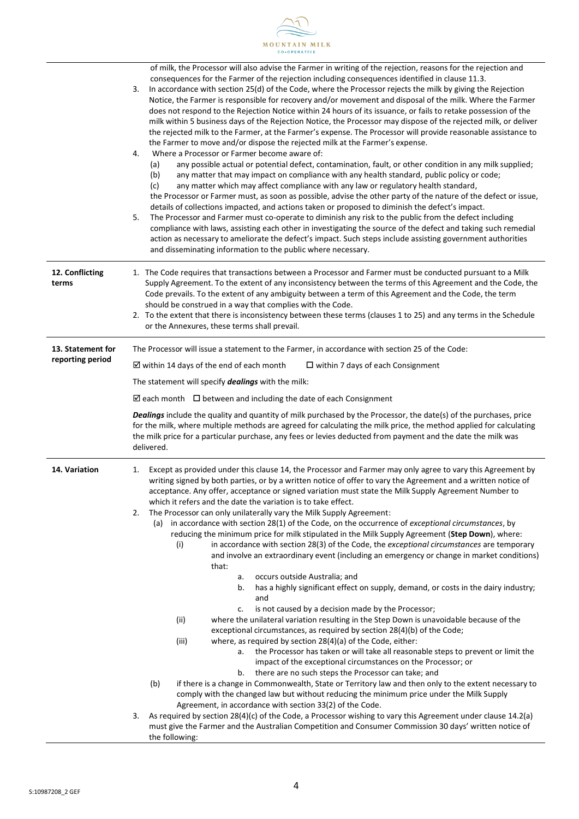

|                          | of milk, the Processor will also advise the Farmer in writing of the rejection, reasons for the rejection and<br>consequences for the Farmer of the rejection including consequences identified in clause 11.3.<br>In accordance with section 25(d) of the Code, where the Processor rejects the milk by giving the Rejection<br>3.<br>Notice, the Farmer is responsible for recovery and/or movement and disposal of the milk. Where the Farmer<br>does not respond to the Rejection Notice within 24 hours of its issuance, or fails to retake possession of the<br>milk within 5 business days of the Rejection Notice, the Processor may dispose of the rejected milk, or deliver<br>the rejected milk to the Farmer, at the Farmer's expense. The Processor will provide reasonable assistance to<br>the Farmer to move and/or dispose the rejected milk at the Farmer's expense.<br>Where a Processor or Farmer become aware of:<br>4.<br>any possible actual or potential defect, contamination, fault, or other condition in any milk supplied;<br>(a)<br>any matter that may impact on compliance with any health standard, public policy or code;<br>(b)<br>any matter which may affect compliance with any law or regulatory health standard,<br>(c)<br>the Processor or Farmer must, as soon as possible, advise the other party of the nature of the defect or issue,<br>details of collections impacted, and actions taken or proposed to diminish the defect's impact.<br>5.<br>The Processor and Farmer must co-operate to diminish any risk to the public from the defect including<br>compliance with laws, assisting each other in investigating the source of the defect and taking such remedial                                                                                                                                                     |  |  |
|--------------------------|---------------------------------------------------------------------------------------------------------------------------------------------------------------------------------------------------------------------------------------------------------------------------------------------------------------------------------------------------------------------------------------------------------------------------------------------------------------------------------------------------------------------------------------------------------------------------------------------------------------------------------------------------------------------------------------------------------------------------------------------------------------------------------------------------------------------------------------------------------------------------------------------------------------------------------------------------------------------------------------------------------------------------------------------------------------------------------------------------------------------------------------------------------------------------------------------------------------------------------------------------------------------------------------------------------------------------------------------------------------------------------------------------------------------------------------------------------------------------------------------------------------------------------------------------------------------------------------------------------------------------------------------------------------------------------------------------------------------------------------------------------------------------------------------------------------------------------------------------------------------------|--|--|
|                          | action as necessary to ameliorate the defect's impact. Such steps include assisting government authorities                                                                                                                                                                                                                                                                                                                                                                                                                                                                                                                                                                                                                                                                                                                                                                                                                                                                                                                                                                                                                                                                                                                                                                                                                                                                                                                                                                                                                                                                                                                                                                                                                                                                                                                                                                |  |  |
| 12. Conflicting<br>terms | and disseminating information to the public where necessary.<br>1. The Code requires that transactions between a Processor and Farmer must be conducted pursuant to a Milk<br>Supply Agreement. To the extent of any inconsistency between the terms of this Agreement and the Code, the<br>Code prevails. To the extent of any ambiguity between a term of this Agreement and the Code, the term<br>should be construed in a way that complies with the Code.<br>2. To the extent that there is inconsistency between these terms (clauses 1 to 25) and any terms in the Schedule<br>or the Annexures, these terms shall prevail.                                                                                                                                                                                                                                                                                                                                                                                                                                                                                                                                                                                                                                                                                                                                                                                                                                                                                                                                                                                                                                                                                                                                                                                                                                        |  |  |
| 13. Statement for        | The Processor will issue a statement to the Farmer, in accordance with section 25 of the Code:                                                                                                                                                                                                                                                                                                                                                                                                                                                                                                                                                                                                                                                                                                                                                                                                                                                                                                                                                                                                                                                                                                                                                                                                                                                                                                                                                                                                                                                                                                                                                                                                                                                                                                                                                                            |  |  |
| reporting period         | $\boxtimes$ within 14 days of the end of each month<br>$\Box$ within 7 days of each Consignment                                                                                                                                                                                                                                                                                                                                                                                                                                                                                                                                                                                                                                                                                                                                                                                                                                                                                                                                                                                                                                                                                                                                                                                                                                                                                                                                                                                                                                                                                                                                                                                                                                                                                                                                                                           |  |  |
|                          | The statement will specify dealings with the milk:                                                                                                                                                                                                                                                                                                                                                                                                                                                                                                                                                                                                                                                                                                                                                                                                                                                                                                                                                                                                                                                                                                                                                                                                                                                                                                                                                                                                                                                                                                                                                                                                                                                                                                                                                                                                                        |  |  |
|                          | $\boxtimes$ each month $\Box$ between and including the date of each Consignment                                                                                                                                                                                                                                                                                                                                                                                                                                                                                                                                                                                                                                                                                                                                                                                                                                                                                                                                                                                                                                                                                                                                                                                                                                                                                                                                                                                                                                                                                                                                                                                                                                                                                                                                                                                          |  |  |
|                          | Dealings include the quality and quantity of milk purchased by the Processor, the date(s) of the purchases, price<br>for the milk, where multiple methods are agreed for calculating the milk price, the method applied for calculating<br>the milk price for a particular purchase, any fees or levies deducted from payment and the date the milk was<br>delivered.                                                                                                                                                                                                                                                                                                                                                                                                                                                                                                                                                                                                                                                                                                                                                                                                                                                                                                                                                                                                                                                                                                                                                                                                                                                                                                                                                                                                                                                                                                     |  |  |
| 14. Variation            | Except as provided under this clause 14, the Processor and Farmer may only agree to vary this Agreement by<br>1.<br>writing signed by both parties, or by a written notice of offer to vary the Agreement and a written notice of<br>acceptance. Any offer, acceptance or signed variation must state the Milk Supply Agreement Number to<br>which it refers and the date the variation is to take effect.<br>The Processor can only unilaterally vary the Milk Supply Agreement:<br>2.<br>(a) in accordance with section 28(1) of the Code, on the occurrence of exceptional circumstances, by<br>reducing the minimum price for milk stipulated in the Milk Supply Agreement (Step Down), where:<br>(i)<br>in accordance with section 28(3) of the Code, the exceptional circumstances are temporary<br>and involve an extraordinary event (including an emergency or change in market conditions)<br>that:<br>occurs outside Australia; and<br>а.<br>has a highly significant effect on supply, demand, or costs in the dairy industry;<br>b.<br>and<br>is not caused by a decision made by the Processor;<br>c.<br>(ii)<br>where the unilateral variation resulting in the Step Down is unavoidable because of the<br>exceptional circumstances, as required by section 28(4)(b) of the Code;<br>(iii)<br>where, as required by section 28(4)(a) of the Code, either:<br>the Processor has taken or will take all reasonable steps to prevent or limit the<br>а.<br>impact of the exceptional circumstances on the Processor; or<br>there are no such steps the Processor can take; and<br>b.<br>(b)<br>if there is a change in Commonwealth, State or Territory law and then only to the extent necessary to<br>comply with the changed law but without reducing the minimum price under the Milk Supply<br>Agreement, in accordance with section 33(2) of the Code. |  |  |
|                          | As required by section 28(4)(c) of the Code, a Processor wishing to vary this Agreement under clause 14.2(a)<br>3.<br>must give the Farmer and the Australian Competition and Consumer Commission 30 days' written notice of<br>the following:                                                                                                                                                                                                                                                                                                                                                                                                                                                                                                                                                                                                                                                                                                                                                                                                                                                                                                                                                                                                                                                                                                                                                                                                                                                                                                                                                                                                                                                                                                                                                                                                                            |  |  |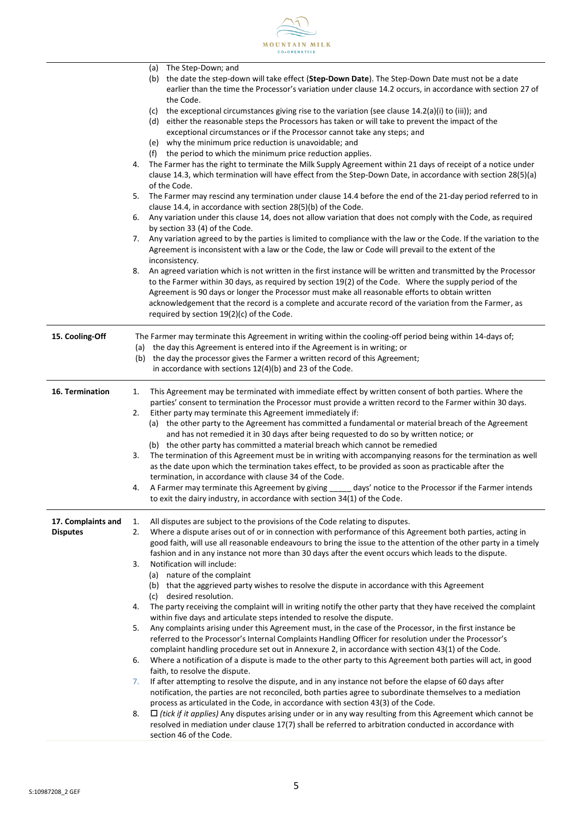

|                                       | The Step-Down; and<br>(a)<br>the date the step-down will take effect (Step-Down Date). The Step-Down Date must not be a date<br>(b)<br>earlier than the time the Processor's variation under clause 14.2 occurs, in accordance with section 27 of<br>the Code.                                                                                            |
|---------------------------------------|-----------------------------------------------------------------------------------------------------------------------------------------------------------------------------------------------------------------------------------------------------------------------------------------------------------------------------------------------------------|
|                                       | the exceptional circumstances giving rise to the variation (see clause $14.2(a)(i)$ to (iii)); and<br>(c)<br>either the reasonable steps the Processors has taken or will take to prevent the impact of the<br>(d)<br>exceptional circumstances or if the Processor cannot take any steps; and<br>(e) why the minimum price reduction is unavoidable; and |
|                                       | (f) the period to which the minimum price reduction applies.                                                                                                                                                                                                                                                                                              |
|                                       | 4. The Farmer has the right to terminate the Milk Supply Agreement within 21 days of receipt of a notice under                                                                                                                                                                                                                                            |
|                                       | clause 14.3, which termination will have effect from the Step-Down Date, in accordance with section 28(5)(a)                                                                                                                                                                                                                                              |
|                                       | of the Code.                                                                                                                                                                                                                                                                                                                                              |
|                                       | 5. The Farmer may rescind any termination under clause 14.4 before the end of the 21-day period referred to in                                                                                                                                                                                                                                            |
|                                       | clause 14.4, in accordance with section 28(5)(b) of the Code.                                                                                                                                                                                                                                                                                             |
|                                       | Any variation under this clause 14, does not allow variation that does not comply with the Code, as required<br>6.                                                                                                                                                                                                                                        |
|                                       | by section 33 (4) of the Code.                                                                                                                                                                                                                                                                                                                            |
|                                       | 7. Any variation agreed to by the parties is limited to compliance with the law or the Code. If the variation to the                                                                                                                                                                                                                                      |
|                                       | Agreement is inconsistent with a law or the Code, the law or Code will prevail to the extent of the                                                                                                                                                                                                                                                       |
|                                       | inconsistency.                                                                                                                                                                                                                                                                                                                                            |
|                                       | An agreed variation which is not written in the first instance will be written and transmitted by the Processor<br>8.<br>to the Farmer within 30 days, as required by section 19(2) of the Code. Where the supply period of the                                                                                                                           |
|                                       | Agreement is 90 days or longer the Processor must make all reasonable efforts to obtain written                                                                                                                                                                                                                                                           |
|                                       | acknowledgement that the record is a complete and accurate record of the variation from the Farmer, as                                                                                                                                                                                                                                                    |
|                                       | required by section 19(2)(c) of the Code.                                                                                                                                                                                                                                                                                                                 |
| 15. Cooling-Off                       | The Farmer may terminate this Agreement in writing within the cooling-off period being within 14-days of;                                                                                                                                                                                                                                                 |
|                                       | (a) the day this Agreement is entered into if the Agreement is in writing; or                                                                                                                                                                                                                                                                             |
|                                       | (b) the day the processor gives the Farmer a written record of this Agreement;                                                                                                                                                                                                                                                                            |
|                                       | in accordance with sections 12(4)(b) and 23 of the Code.                                                                                                                                                                                                                                                                                                  |
| 16. Termination                       | This Agreement may be terminated with immediate effect by written consent of both parties. Where the<br>1.                                                                                                                                                                                                                                                |
|                                       | parties' consent to termination the Processor must provide a written record to the Farmer within 30 days.                                                                                                                                                                                                                                                 |
|                                       | Either party may terminate this Agreement immediately if:<br>2.                                                                                                                                                                                                                                                                                           |
|                                       | (a) the other party to the Agreement has committed a fundamental or material breach of the Agreement                                                                                                                                                                                                                                                      |
|                                       | and has not remedied it in 30 days after being requested to do so by written notice; or                                                                                                                                                                                                                                                                   |
|                                       | (b) the other party has committed a material breach which cannot be remedied                                                                                                                                                                                                                                                                              |
|                                       | The termination of this Agreement must be in writing with accompanying reasons for the termination as well<br>3.                                                                                                                                                                                                                                          |
|                                       | as the date upon which the termination takes effect, to be provided as soon as practicable after the<br>termination, in accordance with clause 34 of the Code.                                                                                                                                                                                            |
|                                       | days' notice to the Processor if the Farmer intends<br>A Farmer may terminate this Agreement by giving<br>4.                                                                                                                                                                                                                                              |
|                                       | to exit the dairy industry, in accordance with section 34(1) of the Code.                                                                                                                                                                                                                                                                                 |
|                                       |                                                                                                                                                                                                                                                                                                                                                           |
| 17. Complaints and<br><b>Disputes</b> | All disputes are subject to the provisions of the Code relating to disputes.<br>1.<br>Where a dispute arises out of or in connection with performance of this Agreement both parties, acting in<br>2.                                                                                                                                                     |
|                                       | good faith, will use all reasonable endeavours to bring the issue to the attention of the other party in a timely                                                                                                                                                                                                                                         |
|                                       | fashion and in any instance not more than 30 days after the event occurs which leads to the dispute.                                                                                                                                                                                                                                                      |
|                                       | Notification will include:<br>3.                                                                                                                                                                                                                                                                                                                          |
|                                       | (a) nature of the complaint                                                                                                                                                                                                                                                                                                                               |
|                                       | (b) that the aggrieved party wishes to resolve the dispute in accordance with this Agreement                                                                                                                                                                                                                                                              |
|                                       | (c) desired resolution.                                                                                                                                                                                                                                                                                                                                   |
|                                       | The party receiving the complaint will in writing notify the other party that they have received the complaint<br>4.                                                                                                                                                                                                                                      |
|                                       | within five days and articulate steps intended to resolve the dispute.                                                                                                                                                                                                                                                                                    |
|                                       | Any complaints arising under this Agreement must, in the case of the Processor, in the first instance be<br>5.                                                                                                                                                                                                                                            |
|                                       | referred to the Processor's Internal Complaints Handling Officer for resolution under the Processor's                                                                                                                                                                                                                                                     |
|                                       | complaint handling procedure set out in Annexure 2, in accordance with section 43(1) of the Code.                                                                                                                                                                                                                                                         |
|                                       | Where a notification of a dispute is made to the other party to this Agreement both parties will act, in good<br>6.                                                                                                                                                                                                                                       |
|                                       | faith, to resolve the dispute.<br>If after attempting to resolve the dispute, and in any instance not before the elapse of 60 days after<br>7.                                                                                                                                                                                                            |
|                                       | notification, the parties are not reconciled, both parties agree to subordinate themselves to a mediation                                                                                                                                                                                                                                                 |
|                                       | process as articulated in the Code, in accordance with section 43(3) of the Code.                                                                                                                                                                                                                                                                         |
|                                       | $\Box$ (tick if it applies) Any disputes arising under or in any way resulting from this Agreement which cannot be<br>8.                                                                                                                                                                                                                                  |
|                                       | resolved in mediation under clause 17(7) shall be referred to arbitration conducted in accordance with                                                                                                                                                                                                                                                    |
|                                       | section 46 of the Code.                                                                                                                                                                                                                                                                                                                                   |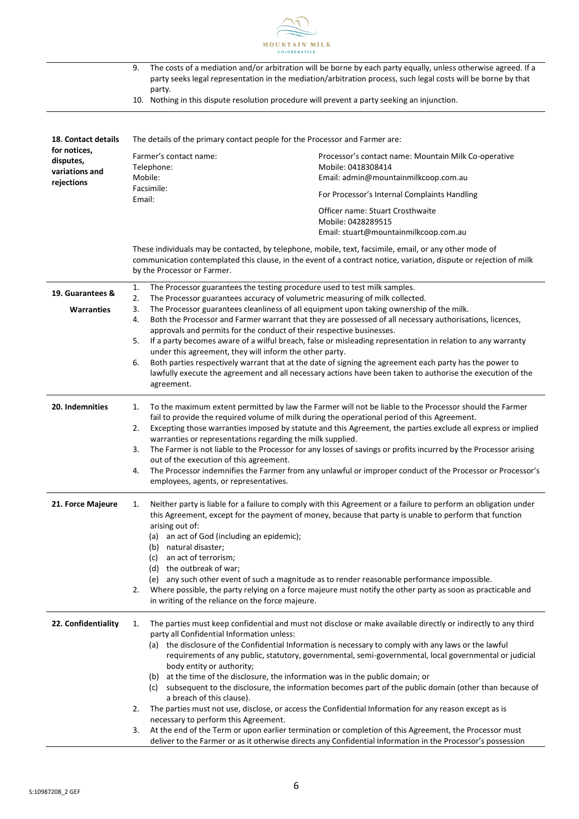

|                                                                                                                                                                                  | 9.<br>party.<br>10. Nothing in this dispute resolution procedure will prevent a party seeking an injunction.                                                                                                                                                                              | The costs of a mediation and/or arbitration will be borne by each party equally, unless otherwise agreed. If a<br>party seeks legal representation in the mediation/arbitration process, such legal costs will be borne by that |  |
|----------------------------------------------------------------------------------------------------------------------------------------------------------------------------------|-------------------------------------------------------------------------------------------------------------------------------------------------------------------------------------------------------------------------------------------------------------------------------------------|---------------------------------------------------------------------------------------------------------------------------------------------------------------------------------------------------------------------------------|--|
|                                                                                                                                                                                  |                                                                                                                                                                                                                                                                                           |                                                                                                                                                                                                                                 |  |
| 18. Contact details                                                                                                                                                              | The details of the primary contact people for the Processor and Farmer are:                                                                                                                                                                                                               |                                                                                                                                                                                                                                 |  |
| for notices,<br>disputes,<br>variations and                                                                                                                                      | Farmer's contact name:<br>Telephone:                                                                                                                                                                                                                                                      | Processor's contact name: Mountain Milk Co-operative<br>Mobile: 0418308414                                                                                                                                                      |  |
| rejections                                                                                                                                                                       | Mobile:                                                                                                                                                                                                                                                                                   | Email: admin@mountainmilkcoop.com.au                                                                                                                                                                                            |  |
|                                                                                                                                                                                  | Facsimile:<br>Email:                                                                                                                                                                                                                                                                      | For Processor's Internal Complaints Handling                                                                                                                                                                                    |  |
|                                                                                                                                                                                  |                                                                                                                                                                                                                                                                                           | Officer name: Stuart Crosthwaite<br>Mobile: 0428289515<br>Email: stuart@mountainmilkcoop.com.au                                                                                                                                 |  |
|                                                                                                                                                                                  | by the Processor or Farmer.                                                                                                                                                                                                                                                               | These individuals may be contacted, by telephone, mobile, text, facsimile, email, or any other mode of<br>communication contemplated this clause, in the event of a contract notice, variation, dispute or rejection of milk    |  |
| 19. Guarantees &                                                                                                                                                                 | The Processor guarantees the testing procedure used to test milk samples.<br>1.                                                                                                                                                                                                           |                                                                                                                                                                                                                                 |  |
|                                                                                                                                                                                  | 2.<br>The Processor guarantees accuracy of volumetric measuring of milk collected.                                                                                                                                                                                                        |                                                                                                                                                                                                                                 |  |
| <b>Warranties</b>                                                                                                                                                                | The Processor guarantees cleanliness of all equipment upon taking ownership of the milk.<br>3.<br>Both the Processor and Farmer warrant that they are possessed of all necessary authorisations, licences,<br>4.<br>approvals and permits for the conduct of their respective businesses. |                                                                                                                                                                                                                                 |  |
|                                                                                                                                                                                  | 5.                                                                                                                                                                                                                                                                                        | If a party becomes aware of a wilful breach, false or misleading representation in relation to any warranty<br>under this agreement, they will inform the other party.                                                          |  |
|                                                                                                                                                                                  | 6.                                                                                                                                                                                                                                                                                        | Both parties respectively warrant that at the date of signing the agreement each party has the power to                                                                                                                         |  |
|                                                                                                                                                                                  | agreement.                                                                                                                                                                                                                                                                                | lawfully execute the agreement and all necessary actions have been taken to authorise the execution of the                                                                                                                      |  |
|                                                                                                                                                                                  |                                                                                                                                                                                                                                                                                           |                                                                                                                                                                                                                                 |  |
| 20. Indemnities                                                                                                                                                                  | To the maximum extent permitted by law the Farmer will not be liable to the Processor should the Farmer<br>1.<br>fail to provide the required volume of milk during the operational period of this Agreement.                                                                             |                                                                                                                                                                                                                                 |  |
| Excepting those warranties imposed by statute and this Agreement, the parties exclude all express or implied<br>2.<br>warranties or representations regarding the milk supplied. |                                                                                                                                                                                                                                                                                           |                                                                                                                                                                                                                                 |  |
|                                                                                                                                                                                  | 3.                                                                                                                                                                                                                                                                                        | The Farmer is not liable to the Processor for any losses of savings or profits incurred by the Processor arising                                                                                                                |  |
|                                                                                                                                                                                  | out of the execution of this agreement.<br>4.                                                                                                                                                                                                                                             | The Processor indemnifies the Farmer from any unlawful or improper conduct of the Processor or Processor's                                                                                                                      |  |
|                                                                                                                                                                                  | employees, agents, or representatives.                                                                                                                                                                                                                                                    |                                                                                                                                                                                                                                 |  |
| 21. Force Majeure                                                                                                                                                                | 1.<br>Neither party is liable for a failure to comply with this Agreement or a failure to perform an obligation under<br>this Agreement, except for the payment of money, because that party is unable to perform that function<br>arising out of:                                        |                                                                                                                                                                                                                                 |  |
|                                                                                                                                                                                  | (a) an act of God (including an epidemic);                                                                                                                                                                                                                                                |                                                                                                                                                                                                                                 |  |
|                                                                                                                                                                                  | natural disaster;<br>(b)<br>an act of terrorism;<br>(c)                                                                                                                                                                                                                                   |                                                                                                                                                                                                                                 |  |
|                                                                                                                                                                                  | (d) the outbreak of war;                                                                                                                                                                                                                                                                  |                                                                                                                                                                                                                                 |  |
|                                                                                                                                                                                  |                                                                                                                                                                                                                                                                                           | (e) any such other event of such a magnitude as to render reasonable performance impossible.                                                                                                                                    |  |
|                                                                                                                                                                                  | 2.<br>in writing of the reliance on the force majeure.                                                                                                                                                                                                                                    | Where possible, the party relying on a force majeure must notify the other party as soon as practicable and                                                                                                                     |  |
| 22. Confidentiality                                                                                                                                                              | 1.<br>party all Confidential Information unless:                                                                                                                                                                                                                                          | The parties must keep confidential and must not disclose or make available directly or indirectly to any third                                                                                                                  |  |
|                                                                                                                                                                                  |                                                                                                                                                                                                                                                                                           | (a) the disclosure of the Confidential Information is necessary to comply with any laws or the lawful                                                                                                                           |  |
|                                                                                                                                                                                  | body entity or authority;                                                                                                                                                                                                                                                                 | requirements of any public, statutory, governmental, semi-governmental, local governmental or judicial                                                                                                                          |  |
|                                                                                                                                                                                  | (b) at the time of the disclosure, the information was in the public domain; or                                                                                                                                                                                                           |                                                                                                                                                                                                                                 |  |
|                                                                                                                                                                                  | a breach of this clause).                                                                                                                                                                                                                                                                 | (c) subsequent to the disclosure, the information becomes part of the public domain (other than because of                                                                                                                      |  |
|                                                                                                                                                                                  | 2.                                                                                                                                                                                                                                                                                        | The parties must not use, disclose, or access the Confidential Information for any reason except as is                                                                                                                          |  |
|                                                                                                                                                                                  | necessary to perform this Agreement.<br>3.                                                                                                                                                                                                                                                | At the end of the Term or upon earlier termination or completion of this Agreement, the Processor must                                                                                                                          |  |
|                                                                                                                                                                                  |                                                                                                                                                                                                                                                                                           | deliver to the Farmer or as it otherwise directs any Confidential Information in the Processor's possession                                                                                                                     |  |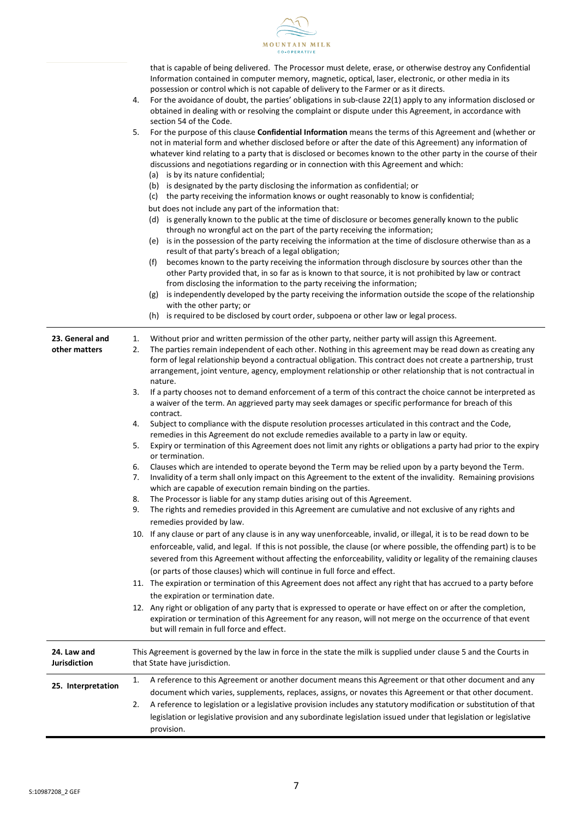

that is capable of being delivered. The Processor must delete, erase, or otherwise destroy any Confidential Information contained in computer memory, magnetic, optical, laser, electronic, or other media in its possession or control which is not capable of delivery to the Farmer or as it directs.

4. For the avoidance of doubt, the parties' obligations in sub-clause 22(1) apply to any information disclosed or obtained in dealing with or resolving the complaint or dispute under this Agreement, in accordance with section 54 of the Code.

| 5. | For the purpose of this clause Confidential Information means the terms of this Agreement and (whether or      |
|----|----------------------------------------------------------------------------------------------------------------|
|    | not in material form and whether disclosed before or after the date of this Agreement) any information of      |
|    | whatever kind relating to a party that is disclosed or becomes known to the other party in the course of their |
|    | discussions and negotiations regarding or in connection with this Agreement and which:                         |

- (a) is by its nature confidential;
- (b) is designated by the party disclosing the information as confidential; or
- (c) the party receiving the information knows or ought reasonably to know is confidential;
- but does not include any part of the information that:
- (d) is generally known to the public at the time of disclosure or becomes generally known to the public through no wrongful act on the part of the party receiving the information;
- (e) is in the possession of the party receiving the information at the time of disclosure otherwise than as a result of that party's breach of a legal obligation;
- (f) becomes known to the party receiving the information through disclosure by sources other than the other Party provided that, in so far as is known to that source, it is not prohibited by law or contract from disclosing the information to the party receiving the information;
- (g) is independently developed by the party receiving the information outside the scope of the relationship with the other party; or

|                                    | with the other party; or<br>(h) is required to be disclosed by court order, subpoena or other law or legal process.                                                                                                                                                                                                                                                                                                                                                     |
|------------------------------------|-------------------------------------------------------------------------------------------------------------------------------------------------------------------------------------------------------------------------------------------------------------------------------------------------------------------------------------------------------------------------------------------------------------------------------------------------------------------------|
| 23. General and<br>other matters   | Without prior and written permission of the other party, neither party will assign this Agreement.<br>1.<br>2.<br>The parties remain independent of each other. Nothing in this agreement may be read down as creating any<br>form of legal relationship beyond a contractual obligation. This contract does not create a partnership, trust<br>arrangement, joint venture, agency, employment relationship or other relationship that is not contractual in<br>nature. |
|                                    | 3.<br>If a party chooses not to demand enforcement of a term of this contract the choice cannot be interpreted as<br>a waiver of the term. An aggrieved party may seek damages or specific performance for breach of this<br>contract.                                                                                                                                                                                                                                  |
|                                    | Subject to compliance with the dispute resolution processes articulated in this contract and the Code,<br>4.<br>remedies in this Agreement do not exclude remedies available to a party in law or equity.                                                                                                                                                                                                                                                               |
|                                    | Expiry or termination of this Agreement does not limit any rights or obligations a party had prior to the expiry<br>5.<br>or termination.                                                                                                                                                                                                                                                                                                                               |
|                                    | Clauses which are intended to operate beyond the Term may be relied upon by a party beyond the Term.<br>6.<br>Invalidity of a term shall only impact on this Agreement to the extent of the invalidity. Remaining provisions<br>7.<br>which are capable of execution remain binding on the parties.                                                                                                                                                                     |
|                                    | The Processor is liable for any stamp duties arising out of this Agreement.<br>8.                                                                                                                                                                                                                                                                                                                                                                                       |
|                                    | 9.<br>The rights and remedies provided in this Agreement are cumulative and not exclusive of any rights and<br>remedies provided by law.                                                                                                                                                                                                                                                                                                                                |
|                                    | 10. If any clause or part of any clause is in any way unenforceable, invalid, or illegal, it is to be read down to be<br>enforceable, valid, and legal. If this is not possible, the clause (or where possible, the offending part) is to be<br>severed from this Agreement without affecting the enforceability, validity or legality of the remaining clauses<br>(or parts of those clauses) which will continue in full force and effect.                            |
|                                    | 11. The expiration or termination of this Agreement does not affect any right that has accrued to a party before<br>the expiration or termination date.                                                                                                                                                                                                                                                                                                                 |
|                                    | 12. Any right or obligation of any party that is expressed to operate or have effect on or after the completion,<br>expiration or termination of this Agreement for any reason, will not merge on the occurrence of that event<br>but will remain in full force and effect.                                                                                                                                                                                             |
| 24. Law and<br><b>Jurisdiction</b> | This Agreement is governed by the law in force in the state the milk is supplied under clause 5 and the Courts in<br>that State have jurisdiction.                                                                                                                                                                                                                                                                                                                      |
| 25. Interpretation                 | A reference to this Agreement or another document means this Agreement or that other document and any<br>1.<br>document which varies, supplements, replaces, assigns, or novates this Agreement or that other document.                                                                                                                                                                                                                                                 |
|                                    | A reference to legislation or a legislative provision includes any statutory modification or substitution of that<br>2.                                                                                                                                                                                                                                                                                                                                                 |
|                                    |                                                                                                                                                                                                                                                                                                                                                                                                                                                                         |
|                                    | legislation or legislative provision and any subordinate legislation issued under that legislation or legislative<br>provision.                                                                                                                                                                                                                                                                                                                                         |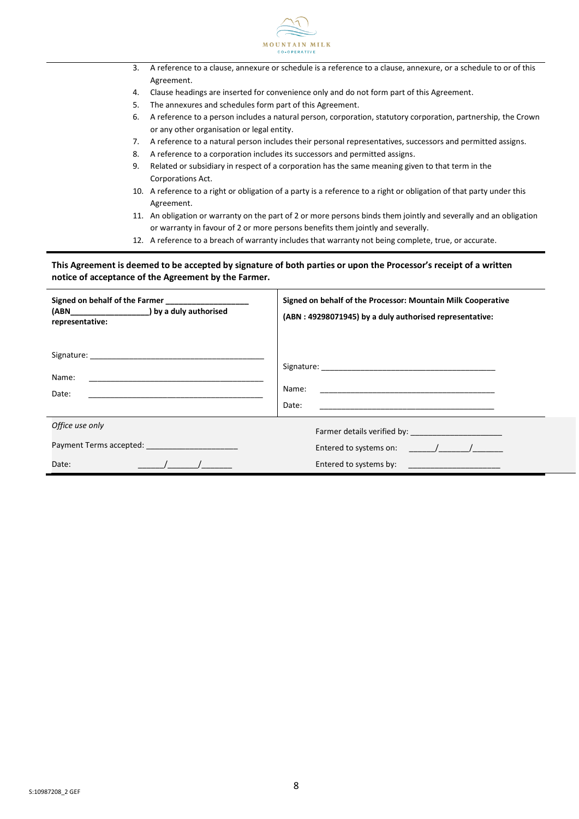

- 3. A reference to a clause, annexure or schedule is a reference to a clause, annexure, or a schedule to or of this Agreement.
- 4. Clause headings are inserted for convenience only and do not form part of this Agreement.
- 5. The annexures and schedules form part of this Agreement.
- 6. A reference to a person includes a natural person, corporation, statutory corporation, partnership, the Crown or any other organisation or legal entity.
- 7. A reference to a natural person includes their personal representatives, successors and permitted assigns.
- 8. A reference to a corporation includes its successors and permitted assigns.
- 9. Related or subsidiary in respect of a corporation has the same meaning given to that term in the Corporations Act.
- 10. A reference to a right or obligation of a party is a reference to a right or obligation of that party under this Agreement.
- 11. An obligation or warranty on the part of 2 or more persons binds them jointly and severally and an obligation or warranty in favour of 2 or more persons benefits them jointly and severally.
- 12. A reference to a breach of warranty includes that warranty not being complete, true, or accurate.

#### **This Agreement is deemed to be accepted by signature of both parties or upon the Processor's receipt of a written notice of acceptance of the Agreement by the Farmer.**

| Signed on behalf of the Farmer<br>(ABN___________________) by a duly authorised<br>representative:                                                                                                                                                         | Signed on behalf of the Processor: Mountain Milk Cooperative<br>(ABN: 49298071945) by a duly authorised representative:                |
|------------------------------------------------------------------------------------------------------------------------------------------------------------------------------------------------------------------------------------------------------------|----------------------------------------------------------------------------------------------------------------------------------------|
| Name:<br>Date:                                                                                                                                                                                                                                             | Name:<br>Date:<br><u> 1980 - Jan Barat, margaret amerikan basar dan berasal dalam pengaran basar dan basar dalam basar dalam basar</u> |
| Office use only<br>Payment Terms accepted: The contract of the contract of the contract of the contract of the contract of the contract of the contract of the contract of the contract of the contract of the contract of the contract of the co<br>Date: | Entered to systems on: $\frac{1}{2}$ /<br>Entered to systems by: ________________________                                              |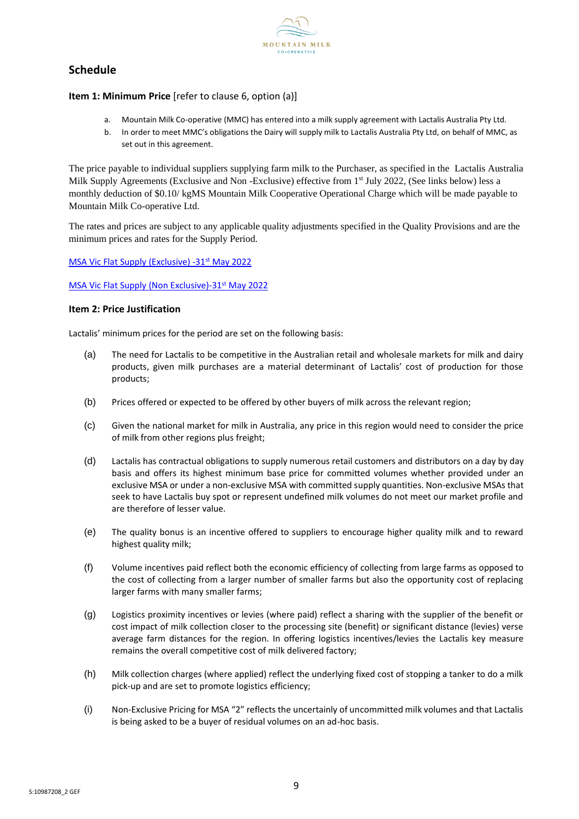

# **Schedule**

#### **Item 1: Minimum Price** [refer to clause 6, option (a)]

- a. Mountain Milk Co-operative (MMC) has entered into a milk supply agreement with Lactalis Australia Pty Ltd.
- b. In order to meet MMC's obligations the Dairy will supply milk to Lactalis Australia Pty Ltd, on behalf of MMC, as set out in this agreement.

The price payable to individual suppliers supplying farm milk to the Purchaser, as specified in the Lactalis Australia Milk Supply Agreements (Exclusive and Non -Exclusive) effective from 1<sup>st</sup> July 2022, (See links below) less a monthly deduction of \$0.10/ kgMS Mountain Milk Cooperative Operational Charge which will be made payable to Mountain Milk Co-operative Ltd.

The rates and prices are subject to any applicable quality adjustments specified in the Quality Provisions and are the minimum prices and rates for the Supply Period.

#### [MSA Vic Flat Supply \(Exclusive\) -31](../../../../../Milk%20Supply/Lactalis/2022/MSA%20Vic%20Flat%20Supply%20(Exclusive)%20-%2031%20May%202022.pdf)<sup>st</sup> May 2022

#### [MSA Vic Flat Supply \(Non Exclusive\)-31](../../../../../Milk%20Supply/Lactalis/2022/MSA%20Vic%20Flat%20Supply%20(Non%20-%20Exclusive)%20-%2031%20May%202022.pdf)<sup>st</sup> May 2022

#### **Item 2: Price Justification**

Lactalis' minimum prices for the period are set on the following basis:

- (a) The need for Lactalis to be competitive in the Australian retail and wholesale markets for milk and dairy products, given milk purchases are a material determinant of Lactalis' cost of production for those products;
- (b) Prices offered or expected to be offered by other buyers of milk across the relevant region;
- (c) Given the national market for milk in Australia, any price in this region would need to consider the price of milk from other regions plus freight;
- (d) Lactalis has contractual obligations to supply numerous retail customers and distributors on a day by day basis and offers its highest minimum base price for committed volumes whether provided under an exclusive MSA or under a non-exclusive MSA with committed supply quantities. Non-exclusive MSAs that seek to have Lactalis buy spot or represent undefined milk volumes do not meet our market profile and are therefore of lesser value.
- (e) The quality bonus is an incentive offered to suppliers to encourage higher quality milk and to reward highest quality milk;
- (f) Volume incentives paid reflect both the economic efficiency of collecting from large farms as opposed to the cost of collecting from a larger number of smaller farms but also the opportunity cost of replacing larger farms with many smaller farms;
- (g) Logistics proximity incentives or levies (where paid) reflect a sharing with the supplier of the benefit or cost impact of milk collection closer to the processing site (benefit) or significant distance (levies) verse average farm distances for the region. In offering logistics incentives/levies the Lactalis key measure remains the overall competitive cost of milk delivered factory;
- (h) Milk collection charges (where applied) reflect the underlying fixed cost of stopping a tanker to do a milk pick-up and are set to promote logistics efficiency;
- (i) Non-Exclusive Pricing for MSA "2" reflects the uncertainly of uncommitted milk volumes and that Lactalis is being asked to be a buyer of residual volumes on an ad-hoc basis.